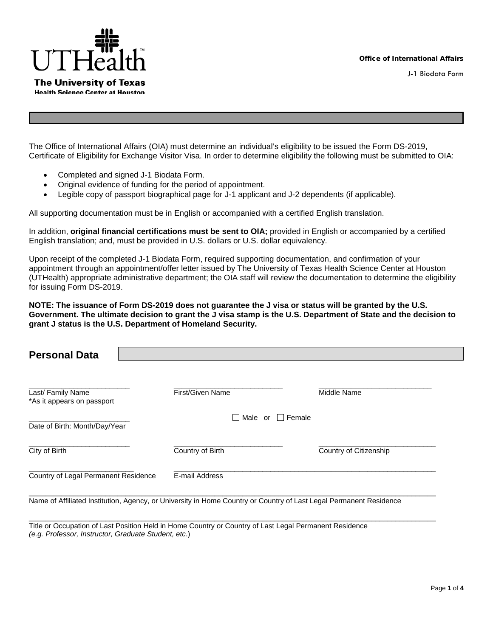

J-1 Biodata Form

The Office of International Affairs (OIA) must determine an individual's eligibility to be issued the Form DS-2019, Certificate of Eligibility for Exchange Visitor Visa. In order to determine eligibility the following must be submitted to OIA:

- Completed and signed J-1 Biodata Form.
- Original evidence of funding for the period of appointment.
- Legible copy of passport biographical page for J-1 applicant and J-2 dependents (if applicable).

All supporting documentation must be in English or accompanied with a certified English translation.

In addition, **original financial certifications must be sent to OIA;** provided in English or accompanied by a certified English translation; and, must be provided in U.S. dollars or U.S. dollar equivalency.

Upon receipt of the completed J-1 Biodata Form, required supporting documentation, and confirmation of your appointment through an appointment/offer letter issued by The University of Texas Health Science Center at Houston (UTHealth) appropriate administrative department; the OIA staff will review the documentation to determine the eligibility for issuing Form DS-2019.

**NOTE: The issuance of Form DS-2019 does not guarantee the J visa or status will be granted by the U.S. Government. The ultimate decision to grant the J visa stamp is the U.S. Department of State and the decision to grant J status is the U.S. Department of Homeland Security.** 

| <b>Personal Data</b>                            |                              |                        |
|-------------------------------------------------|------------------------------|------------------------|
| Last/ Family Name<br>*As it appears on passport | <b>First/Given Name</b>      | Middle Name            |
| Date of Birth: Month/Day/Year                   | $\Box$ Male or $\Box$ Female |                        |
| City of Birth                                   | Country of Birth             | Country of Citizenship |
| Country of Legal Permanent Residence            | E-mail Address               |                        |

Name of Affiliated Institution, Agency, or University in Home Country or Country of Last Legal Permanent Residence

\_\_\_\_\_\_\_\_\_\_\_\_\_\_\_\_\_\_\_\_\_\_\_\_\_\_\_\_\_\_\_\_\_\_\_\_\_\_\_\_\_\_\_\_\_\_\_\_\_\_\_\_\_\_\_\_\_\_\_\_\_\_\_\_\_\_\_\_\_\_\_\_\_\_\_\_\_\_\_\_\_\_\_\_\_\_\_\_\_\_\_\_\_\_\_\_\_\_\_\_\_

Title or Occupation of Last Position Held in Home Country or Country of Last Legal Permanent Residence *(e.g. Professor, Instructor, Graduate Student, etc*.)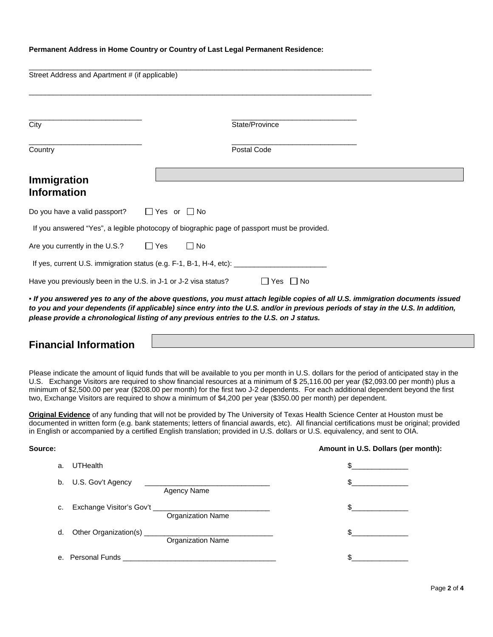#### **Permanent Address in Home Country or Country of Last Legal Permanent Residence:**

| Street Address and Apartment # (if applicable)                                              |           |                                                                                                                       |  |  |
|---------------------------------------------------------------------------------------------|-----------|-----------------------------------------------------------------------------------------------------------------------|--|--|
| City                                                                                        |           | State/Province                                                                                                        |  |  |
| Country                                                                                     |           | Postal Code                                                                                                           |  |  |
| Immigration<br><b>Information</b>                                                           |           |                                                                                                                       |  |  |
| Do you have a valid passport? $\Box$ Yes or $\Box$ No                                       |           |                                                                                                                       |  |  |
| If you answered "Yes", a legible photocopy of biographic page of passport must be provided. |           |                                                                                                                       |  |  |
| Are you currently in the U.S.? $\Box$ Yes                                                   | $\Box$ No |                                                                                                                       |  |  |
|                                                                                             |           |                                                                                                                       |  |  |
| Have you previously been in the U.S. in J-1 or J-2 visa status?<br>$\Box$ Yes $\Box$ No     |           |                                                                                                                       |  |  |
|                                                                                             |           | $\sim$ . The second contract of the second contract of the second contract of the second contract of the second terms |  |  |

• *If you answered yes to any of the above questions, you must attach legible copies of all U.S. immigration documents issued to you and your dependents (if applicable) since entry into the U.S. and/or in previous periods of stay in the U.S. In addition, please provide a chronological listing of any previous entries to the U.S. on J status.*

## **Financial Information**

Please indicate the amount of liquid funds that will be available to you per month in U.S. dollars for the period of anticipated stay in the U.S. Exchange Visitors are required to show financial resources at a minimum of \$ 25,116.00 per year (\$2,093.00 per month) plus a minimum of \$2,500.00 per year (\$208.00 per month) for the first two J-2 dependents. For each additional dependent beyond the first two, Exchange Visitors are required to show a minimum of \$4,200 per year (\$350.00 per month) per dependent.

**Original Evidence** of any funding that will not be provided by The University of Texas Health Science Center at Houston must be documented in written form (e.g. bank statements; letters of financial awards, etc). All financial certifications must be original; provided in English or accompanied by a certified English translation; provided in U.S. dollars or U.S. equivalency, and sent to OIA.

| Source: |                   |                                                                                                                | Amount in U.S. Dollars (per month): |
|---------|-------------------|----------------------------------------------------------------------------------------------------------------|-------------------------------------|
| a.      | <b>UTHealth</b>   |                                                                                                                | \$                                  |
| b.      | U.S. Gov't Agency | Agency Name                                                                                                    | \$.                                 |
| с.      |                   | Organization Name                                                                                              | \$                                  |
| d.      |                   | <b>Organization Name</b>                                                                                       | $\mathbb{S}$                        |
|         |                   | e. Personal Funds and a state of the state of the state of the state of the state of the state of the state of |                                     |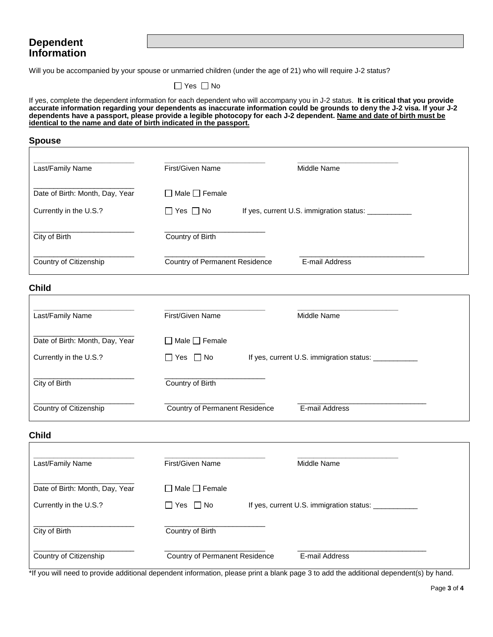## **Dependent Information**

Will you be accompanied by your spouse or unmarried children (under the age of 21) who will require J-2 status?

 $\Box$  Yes  $\Box$  No

If yes, complete the dependent information for each dependent who will accompany you in J-2 status. **It is critical that you provide accurate information regarding your dependents as inaccurate information could be grounds to deny the J-2 visa. If your J-2 dependents have a passport, please provide a legible photocopy for each J-2 dependent. Name and date of birth must be identical to the name and date of birth indicated in the passport.**

#### **Spouse**

| <b>Child</b>                    |                                    |                                                      |  |
|---------------------------------|------------------------------------|------------------------------------------------------|--|
| Country of Citizenship          | Country of Permanent Residence     | E-mail Address                                       |  |
| City of Birth                   | Country of Birth                   |                                                      |  |
| Currently in the U.S.?          | $\Box$ Yes $\Box$ No               | If yes, current U.S. immigration status: ___________ |  |
| Date of Birth: Month, Day, Year | Male $\Box$ Female<br>$\mathbf{I}$ |                                                      |  |
| Last/Family Name                | First/Given Name                   | Middle Name                                          |  |

| Last/Family Name                                          | First/Given Name                                  | Middle Name                              |                |  |
|-----------------------------------------------------------|---------------------------------------------------|------------------------------------------|----------------|--|
| Date of Birth: Month, Day, Year<br>Currently in the U.S.? | $\Box$ Male $\Box$ Female<br>$\Box$ Yes $\Box$ No | If yes, current U.S. immigration status: |                |  |
| City of Birth                                             | Country of Birth                                  |                                          |                |  |
| Country of Citizenship                                    | Country of Permanent Residence                    |                                          | E-mail Address |  |

### **Child**

| Last/Family Name                | First/Given Name                      | Middle Name                                   |
|---------------------------------|---------------------------------------|-----------------------------------------------|
| Date of Birth: Month, Day, Year | $\Box$ Male $\Box$ Female             |                                               |
| Currently in the U.S.?          | ∏Yes ∏No                              | If yes, current U.S. immigration status: ____ |
| City of Birth                   | Country of Birth                      |                                               |
| Country of Citizenship          | <b>Country of Permanent Residence</b> | E-mail Address                                |

\*If you will need to provide additional dependent information, please print a blank page 3 to add the additional dependent(s) by hand.